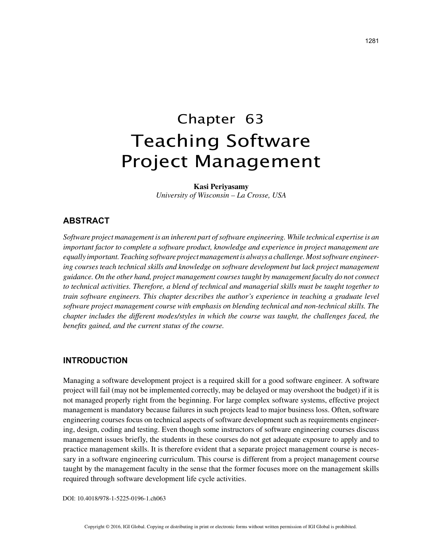# Chapter 63 Teaching Software Project Management

#### **Kasi Periyasamy**

*University of Wisconsin – La Crosse, USA*

## **ABSTRACT**

*Software project management is an inherent part of software engineering. While technical expertise is an important factor to complete a software product, knowledge and experience in project management are equally important. Teaching software project management is always a challenge. Most software engineering courses teach technical skills and knowledge on software development but lack project management guidance. On the other hand, project management courses taught by management faculty do not connect to technical activities. Therefore, a blend of technical and managerial skills must be taught together to train software engineers. This chapter describes the author's experience in teaching a graduate level software project management course with emphasis on blending technical and non-technical skills. The chapter includes the different modes/styles in which the course was taught, the challenges faced, the benefits gained, and the current status of the course.*

## **INTRODUCTION**

Managing a software development project is a required skill for a good software engineer. A software project will fail (may not be implemented correctly, may be delayed or may overshoot the budget) if it is not managed properly right from the beginning. For large complex software systems, effective project management is mandatory because failures in such projects lead to major business loss. Often, software engineering courses focus on technical aspects of software development such as requirements engineering, design, coding and testing. Even though some instructors of software engineering courses discuss management issues briefly, the students in these courses do not get adequate exposure to apply and to practice management skills. It is therefore evident that a separate project management course is necessary in a software engineering curriculum. This course is different from a project management course taught by the management faculty in the sense that the former focuses more on the management skills required through software development life cycle activities.

DOI: 10.4018/978-1-5225-0196-1.ch063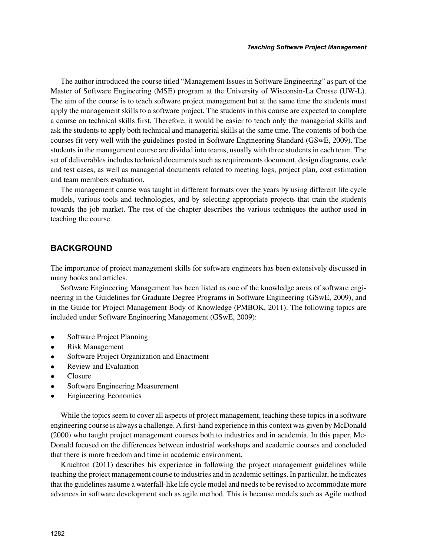The author introduced the course titled "Management Issues in Software Engineering" as part of the Master of Software Engineering (MSE) program at the University of Wisconsin-La Crosse (UW-L). The aim of the course is to teach software project management but at the same time the students must apply the management skills to a software project. The students in this course are expected to complete a course on technical skills first. Therefore, it would be easier to teach only the managerial skills and ask the students to apply both technical and managerial skills at the same time. The contents of both the courses fit very well with the guidelines posted in Software Engineering Standard (GSwE, 2009). The students in the management course are divided into teams, usually with three students in each team. The set of deliverables includes technical documents such as requirements document, design diagrams, code and test cases, as well as managerial documents related to meeting logs, project plan, cost estimation and team members evaluation.

The management course was taught in different formats over the years by using different life cycle models, various tools and technologies, and by selecting appropriate projects that train the students towards the job market. The rest of the chapter describes the various techniques the author used in teaching the course.

## **BACKGROUND**

The importance of project management skills for software engineers has been extensively discussed in many books and articles.

Software Engineering Management has been listed as one of the knowledge areas of software engineering in the Guidelines for Graduate Degree Programs in Software Engineering (GSwE, 2009), and in the Guide for Project Management Body of Knowledge (PMBOK, 2011). The following topics are included under Software Engineering Management (GSwE, 2009):

- Software Project Planning
- Risk Management
- Software Project Organization and Enactment
- Review and Evaluation
- Closure
- Software Engineering Measurement
- Engineering Economics

While the topics seem to cover all aspects of project management, teaching these topics in a software engineering course is always a challenge. A first-hand experience in this context was given by McDonald (2000) who taught project management courses both to industries and in academia. In this paper, Mc-Donald focused on the differences between industrial workshops and academic courses and concluded that there is more freedom and time in academic environment.

Kruchton (2011) describes his experience in following the project management guidelines while teaching the project management course to industries and in academic settings. In particular, he indicates that the guidelines assume a waterfall-like life cycle model and needs to be revised to accommodate more advances in software development such as agile method. This is because models such as Agile method